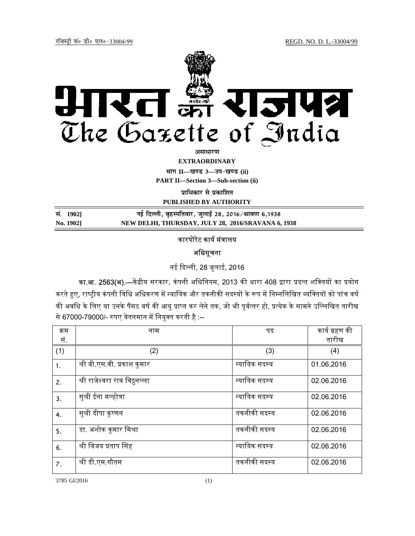

असाधा**र**ण

**EXTRAORDINARY**

**Hkkx II—[k.M 3—mi&[k.M (ii)**

**PART II—Section 3—Sub-section (ii)** 

**प्राधिकार से प्रकाशित** 

**PUBLISHED BY AUTHORITY**

| सं. 1902] | नई दिल्ली, बृहस्पतिवार, जुलाई 28, 2016 ∕ श्रावण 6,1938 |
|-----------|--------------------------------------------------------|
| No. 1902] | NEW DELHI, THURSDAY, JULY 28, 2016/SRAVANA 6, 1938     |

## कारपोरेट कार्य मंत्रालय

## अधिसूचना

नई ᳰद᭨ ली, 28 जुलाई, 2016

का.आ. 2563(अ).—केंद्रीय सरकार, कंपनी अधिनियम, 2013 की धारा 408 द्वारा प्रदत्त शक्तियों का प्रयोग करते हुए, राष्ट्रीय कंपनी विधि अधिकरण में न्यायिक और तकनीकी सदस्यों के रूप में निम्नलिखित व्यक्तियों को पांच वर्ष की अवधि के लिए या उनके पैंसठ वर्ष की आयु प्राप्त कर लेने तक, जो भी पूर्वत्तर हो, प्रत्येक के सामने उल्लिखित तारीख से 67000-79000/- रुपए वेतनमान में नियुक्त करती है :--

| क्रम | नाम                           | पद            | कार्य ग्रहण की |
|------|-------------------------------|---------------|----------------|
| सं.  |                               |               | तारीख          |
| (1)  | (2)                           | (3)           | (4)            |
| 1.   | श्री बी.एस.वी. प्रकाश कुमार   | न्यायिक सदस्य | 01.06.2016     |
| 2.   | श्री राजेश्वरा राव विठ्ठनल्ला | न्यायिक सदस्य | 02.06.2016     |
| 3.   | सुश्री ईना मल्होत्रा          | न्यायिक सदस्य | 02.06.2016     |
| 4.   | सुश्री दीपा कृष्णन            | तकनीकी सदस्य  | 02.06.2016     |
| 5.   | डा. अशोक कुमार मिश्रा         | तकनीकी सदस्य  | 02.06.2016     |
| 6.   | श्री विजय प्रताप सिंह         | न्यायिक सदस्य | 02.06.2016     |
| 7.   | श्री डी.एम.गौतम               | तकनीकी सदस्य  | 02.06.2016     |

3785 GI/2016 (1)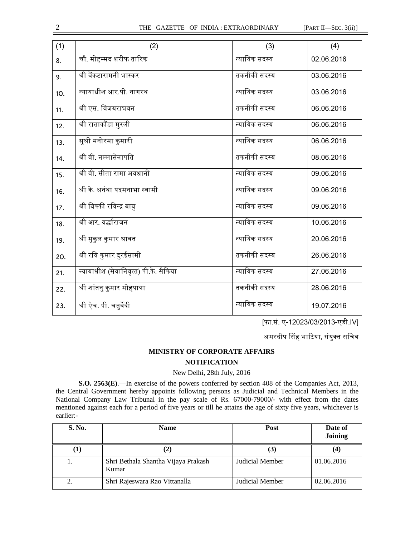| (2)                                   | (3)           | (4)        |
|---------------------------------------|---------------|------------|
| चौ. मोहम्मद शरीफ तारिक                | न्यायिक सदस्य | 02.06.2016 |
| श्री वेंकटारामनी भास्कर               | तकनीकी सदस्य  | 03.06.2016 |
| न्यायाधीश आर.पी. नागरथ                | न्यायिक सदस्य | 03.06.2016 |
| श्री एस. विजयराघवन                    | तकनीकी सदस्य  | 06.06.2016 |
| श्री राताकौंडा मुरली                  | न्यायिक सदस्य | 06.06.2016 |
| सुश्री मनोरमा कुमारी                  | न्यायिक सदस्य | 06.06.2016 |
| श्री वी. नल्लासेनापति                 | तकनीकी सदस्य  | 08.06.2016 |
| श्री वी. सीता रामा अवधानी             | न्यायिक सदस्य | 09.06.2016 |
| <u>य</u> ्यो के. अनंथा पदमनाभा स्वामी | न्यायिक सदस्य | 09.06.2016 |
| श्री बिक्की रविन्द्र बाबु             | न्यायिक सदस्य | 09.06.2016 |
| श्री आर. वर्द्धाराजन                  | न्यायिक सदस्य | 10.06.2016 |
| श्री मुकुल कुमार श्रावत               | न्यायिक सदस्य | 20.06.2016 |
| श्री रवि कुमार दुरईसामी               | तकनीकी सदस्य  | 26.06.2016 |
| न्यायाधीश (सेवानिवृत्त) पी.के. सैकिया | न्यायिक सदस्य | 27.06.2016 |
| श्री शांतनु कुमार मोहपात्रा           | तकनीकी सदस्य  | 28.06.2016 |
| श्री ऐच. पी. चतुर्वेदी                | न्यायिक सदस्य | 19.07.2016 |
|                                       |               |            |

[फा.सं. ए-12023/03/2013-एडी.IV]

अमरदीप सिंह भाटिया, संयुक्त सचिव

## **MINISTRY OF CORPORATE AFFAIRS NOTIFICATION**

## New Delhi, 28th July, 2016

**S.O. 2563(E)**.—In exercise of the powers conferred by section 408 of the Companies Act, 2013, the Central Government hereby appoints following persons as Judicial and Technical Members in the National Company Law Tribunal in the pay scale of Rs. 67000-79000/- with effect from the dates mentioned against each for a period of five years or till he attains the age of sixty five years, whichever is earlier:-

| S. No.       | <b>Name</b>                                  | Post            | Date of<br>Joining |
|--------------|----------------------------------------------|-----------------|--------------------|
| $\mathbf{I}$ | $\mathbf{2}$                                 | (3)             | (4)                |
|              | Shri Bethala Shantha Vijaya Prakash<br>Kumar | Judicial Member | 01.06.2016         |
| 2.           | Shri Rajeswara Rao Vittanalla                | Judicial Member | 02.06.2016         |